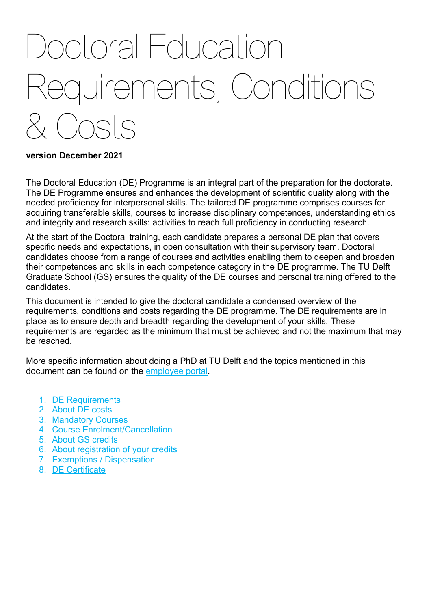# **Instruction** Requirements, Conditions & Costs

## **version December 2021**

The Doctoral Education (DE) Programme is an integral part of the preparation for the doctorate. The DE Programme ensures and enhances the development of scientific quality along with the needed proficiency for interpersonal skills. The tailored DE programme comprises courses for acquiring transferable skills, courses to increase disciplinary competences, understanding ethics and integrity and research skills: activities to reach full proficiency in conducting research.

At the start of the Doctoral training, each candidate prepares a personal DE plan that covers specific needs and expectations, in open consultation with their supervisory team. Doctoral candidates choose from a range of courses and activities enabling them to deepen and broaden their competences and skills in each competence category in the DE programme. The TU Delft Graduate School (GS) ensures the quality of the DE courses and personal training offered to the candidates.

This document is intended to give the doctoral candidate a condensed overview of the requirements, conditions and costs regarding the DE programme. The DE requirements are in place as to ensure depth and breadth regarding the development of your skills. These requirements are regarded as the minimum that must be achieved and not the maximum that may be reached.

More specific information about doing a PhD at TU Delft and the topics mentioned in this document can be found on the [employee portal.](https://intranet.tudelft.nl/-/i-m-a-phd-student)

- 1. [DE Requirements](#page-1-0)
- 2. About [DE costs](#page-1-1)
- 3. [Mandatory Courses](#page-1-2)
- 4. [Course Enrolment/Cancellation](#page-1-3)
- 5. [About GS credits](#page-2-0)
- 6. [About registration of your credits](#page-3-0)
- 7. [Exemptions / Dispensation](#page-4-0)
- 8. [DE Certificate](#page-4-1)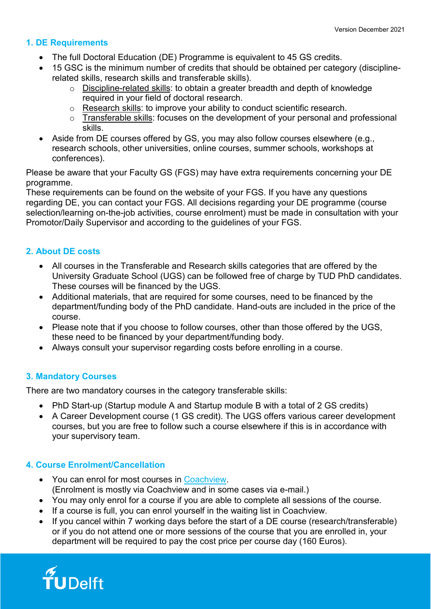# <span id="page-1-0"></span>**1. DE Requirements**

- The full Doctoral Education (DE) Programme is equivalent to 45 GS credits.
- 15 GSC is the minimum number of credits that should be obtained per category (disciplinerelated skills, research skills and transferable skills).
	- o Discipline-related skills: to obtain a greater breadth and depth of knowledge required in your field of doctoral research.
	- o Research skills: to improve your ability to conduct scientific research.
	- o Transferable skills: focuses on the development of your personal and professional skills.
- Aside from DE courses offered by GS, you may also follow courses elsewhere (e.g., research schools, other universities, online courses, summer schools, workshops at conferences).

Please be aware that your Faculty GS (FGS) may have extra requirements concerning your DE programme.

These requirements can be found on the website of your FGS. If you have any questions regarding DE, you can contact your FGS. All decisions regarding your DE programme (course selection/learning on-the-job activities, course enrolment) must be made in consultation with your Promotor/Daily Supervisor and according to the guidelines of your FGS.

# <span id="page-1-1"></span>**2. About DE costs**

- All courses in the Transferable and Research skills categories that are offered by the University Graduate School (UGS) can be followed free of charge by TUD PhD candidates. These courses will be financed by the UGS.
- Additional materials, that are required for some courses, need to be financed by the department/funding body of the PhD candidate. Hand-outs are included in the price of the course.
- Please note that if you choose to follow courses, other than those offered by the UGS, these need to be financed by your department/funding body.
- Always consult your supervisor regarding costs before enrolling in a course.

# <span id="page-1-2"></span>**3. Mandatory Courses**

There are two mandatory courses in the category transferable skills:

- PhD Start-up (Startup module A and Startup module B with a total of 2 GS credits)
- A Career Development course (1 GS credit). The UGS offers various career development courses, but you are free to follow such a course elsewhere if this is in accordance with your supervisory team.

# <span id="page-1-3"></span>**4. Course Enrolment/Cancellation**

- You can enrol for most courses in [Coachview.](https://tudelftgs.opleidingsportaal.nl/en-us/) (Enrolment is mostly via Coachview and in some cases via e-mail.)
- You may only enrol for a course if you are able to complete all sessions of the course.
- If a course is full, you can enrol yourself in the waiting list in Coachview.
- If you cancel within 7 working days before the start of a DE course (research/transferable) or if you do not attend one or more sessions of the course that you are enrolled in, your department will be required to pay the cost price per course day (160 Euros).

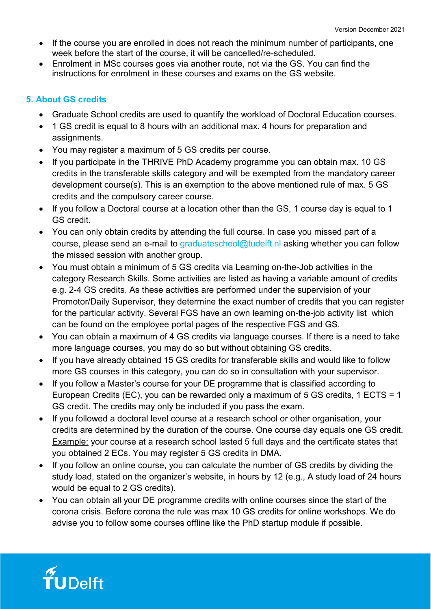- If the course you are enrolled in does not reach the minimum number of participants, one week before the start of the course, it will be cancelled/re-scheduled.
- Enrolment in MSc courses goes via another route, not via the GS. You can find the instructions for enrolment in these courses and exams on the GS website.

# <span id="page-2-0"></span>**5. About GS credits**

- Graduate School credits are used to quantify the workload of Doctoral Education courses.
- 1 GS credit is equal to 8 hours with an additional max. 4 hours for preparation and assignments.
- You may register a maximum of 5 GS credits per course.
- If you participate in the THRIVE PhD Academy programme you can obtain max. 10 GS credits in the transferable skills category and will be exempted from the mandatory career development course(s). This is an exemption to the above mentioned rule of max. 5 GS credits and the compulsory career course.
- If you follow a Doctoral course at a location other than the GS, 1 course day is equal to 1 GS credit.
- You can only obtain credits by attending the full course. In case you missed part of a course, please send an e-mail to [graduateschool@tudelft.nl](mailto:graduateschool@tudelft.nl) asking whether you can follow the missed session with another group.
- You must obtain a minimum of 5 GS credits via Learning on-the-Job activities in the category Research Skills. Some activities are listed as having a variable amount of credits e.g. 2-4 GS credits. As these activities are performed under the supervision of your Promotor/Daily Supervisor, they determine the exact number of credits that you can register for the particular activity. Several FGS have an own learning on-the-job activity list which can be found on the employee portal pages of the respective FGS and GS.
- You can obtain a maximum of 4 GS credits via language courses. If there is a need to take more language courses, you may do so but without obtaining GS credits.
- If you have already obtained 15 GS credits for transferable skills and would like to follow more GS courses in this category, you can do so in consultation with your supervisor.
- If you follow a Master's course for your DE programme that is classified according to European Credits (EC), you can be rewarded only a maximum of 5 GS credits, 1 ECTS = 1 GS credit. The credits may only be included if you pass the exam.
- If you followed a doctoral level course at a research school or other organisation, your credits are determined by the duration of the course. One course day equals one GS credit. Example: your course at a research school lasted 5 full days and the certificate states that you obtained 2 ECs. You may register 5 GS credits in DMA.
- If you follow an online course, you can calculate the number of GS credits by dividing the study load, stated on the organizer's website, in hours by 12 (e.g., A study load of 24 hours would be equal to 2 GS credits).
- You can obtain all your DE programme credits with online courses since the start of the corona crisis. Before corona the rule was max 10 GS credits for online workshops. We do advise you to follow some courses offline like the PhD startup module if possible.

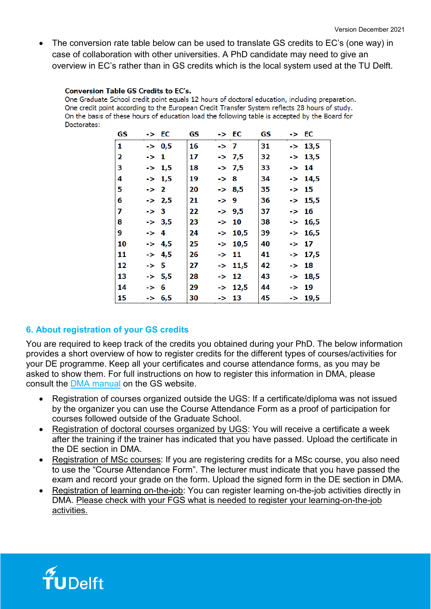• The conversion rate table below can be used to translate GS credits to EC's (one way) in case of collaboration with other universities. A PhD candidate may need to give an overview in EC's rather than in GS credits which is the local system used at the TU Delft.

#### **Conversion Table GS Credits to EC's.**

One Graduate School credit point equals 12 hours of doctoral education, including preparation. One credit point according to the European Credit Transfer System reflects 28 hours of study. On the basis of these hours of education load the following table is accepted by the Board for Doctorates:

| GS | -> EC             | GS | -> EC              | GS | -> EC              |
|----|-------------------|----|--------------------|----|--------------------|
| 1  | $\leftarrow$ 0,5  | 16 | -> 7               | 31 | $->13,5$           |
| 2  | -> 1              | 17 | -> 7,5             | 32 | $->13,5$           |
| 3  | $\rightarrow$ 1,5 | 18 | -> 7,5             | 33 | -> 14              |
| 4  | $\rightarrow$ 1,5 | 19 | -> 8               | 34 | $\rightarrow$ 14,5 |
| 5  | $\rightarrow$ 2   | 20 | $\rightarrow 8,5$  | 35 | -> 15              |
| 6  | $-2,5$            | 21 | -> 9               | 36 | $->15,5$           |
| 7  | $\rightarrow$ 3   | 22 | -> 9,5             | 37 | -> 16              |
| 8  | $\rightarrow 3,5$ | 23 | -> 10              | 38 | $\rightarrow$ 16,5 |
| 9  | -> 4              | 24 | $->10,5$           | 39 | -> 16,5            |
| 10 | $\rightarrow$ 4,5 | 25 | $\rightarrow$ 10,5 | 40 | -> 17              |
| 11 | $\rightarrow$ 4,5 | 26 | -> 11              | 41 | $\rightarrow$ 17,5 |
| 12 | -> 5              | 27 | -> 11,5            | 42 | -> 18              |
| 13 | $\rightarrow$ 5,5 | 28 | -> 12              | 43 | $\text{-} > 18,5$  |
| 14 | -> 6              | 29 | $\rightarrow$ 12,5 | 44 | $- > 19$           |
| 15 | -> 6,5            | 30 | -> 13              | 45 | $->19,5$           |

## <span id="page-3-0"></span>**6. About registration of your GS credits**

You are required to keep track of the credits you obtained during your PhD. The below information provides a short overview of how to register credits for the different types of courses/activities for your DE programme. Keep all your certificates and course attendance forms, as you may be asked to show them. For full instructions on how to register this information in DMA, please consult the [DMA manual](https://intranet.tudelft.nl/-/dma) on the GS website.

- Registration of courses organized outside the UGS: If a certificate/diploma was not issued by the organizer you can use the Course Attendance Form as a proof of participation for courses followed outside of the Graduate School.
- Registration of doctoral courses organized by UGS: You will receive a certificate a week after the training if the trainer has indicated that you have passed. Upload the certificate in the DE section in DMA.
- Registration of MSc courses: If you are registering credits for a MSc course, you also need to use the "Course Attendance Form". The lecturer must indicate that you have passed the exam and record your grade on the form. Upload the signed form in the DE section in DMA.
- Registration of learning on-the-job: You can register learning on-the-job activities directly in DMA. Please check with your FGS what is needed to register your learning-on-the-job activities.